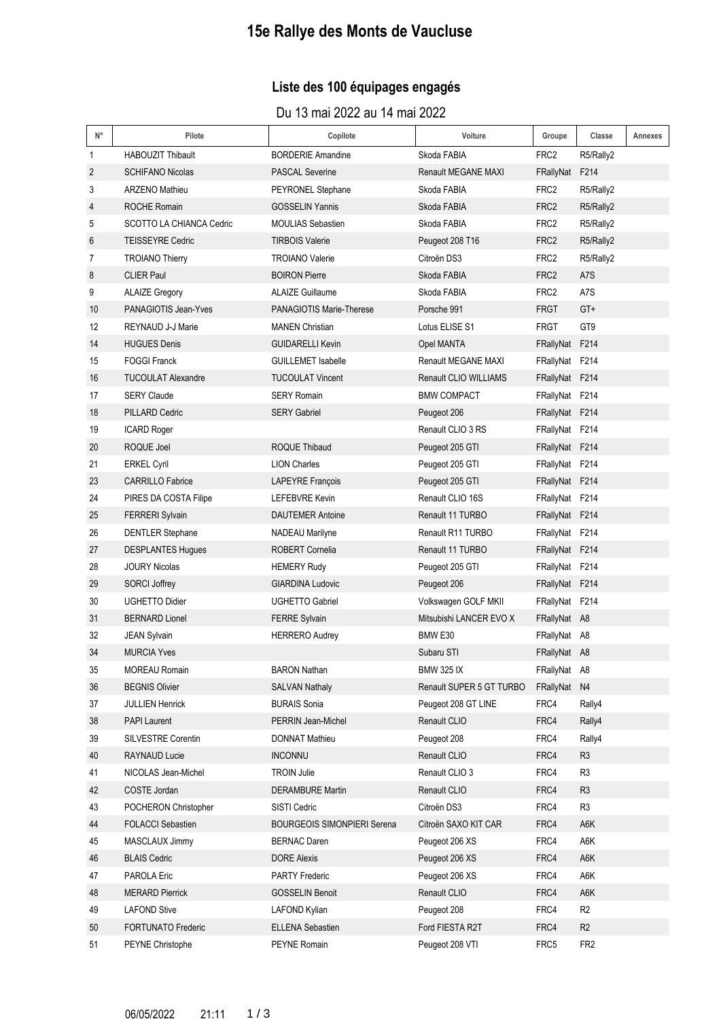# **15e Rallye des Monts de Vaucluse**

## **Liste des 100 équipages engagés**

Du 13 mai 2022 au 14 mai 2022

| $N^{\circ}$       | Pilote                    | Copilote                           | Voiture                  | Groupe           | Classe          | Annexes |
|-------------------|---------------------------|------------------------------------|--------------------------|------------------|-----------------|---------|
| 1                 | <b>HABOUZIT Thibault</b>  | <b>BORDERIE Amandine</b>           | Skoda FABIA              | FRC2             | R5/Rally2       |         |
| $\overline{2}$    | <b>SCHIFANO Nicolas</b>   | <b>PASCAL Severine</b>             | Renault MEGANE MAXI      | FRallyNat F214   |                 |         |
| 3                 | <b>ARZENO Mathieu</b>     | PEYRONEL Stephane                  | Skoda FABIA              | FRC <sub>2</sub> | R5/Rally2       |         |
| 4                 | ROCHE Romain              | <b>GOSSELIN Yannis</b>             | Skoda FABIA              | FRC <sub>2</sub> | R5/Rally2       |         |
| 5                 | SCOTTO LA CHIANCA Cedric  | <b>MOULIAS Sebastien</b>           | Skoda FABIA              | FRC <sub>2</sub> | R5/Rally2       |         |
| 6                 | <b>TEISSEYRE Cedric</b>   | <b>TIRBOIS Valerie</b>             | Peugeot 208 T16          | FRC <sub>2</sub> | R5/Rally2       |         |
| 7                 | <b>TROIANO Thierry</b>    | <b>TROIANO Valerie</b>             | Citroën DS3              | FRC <sub>2</sub> | R5/Rally2       |         |
| 8                 | <b>CLIER Paul</b>         | <b>BOIRON Pierre</b>               | Skoda FABIA              | FRC <sub>2</sub> | A7S             |         |
| 9                 | <b>ALAIZE Gregory</b>     | <b>ALAIZE Guillaume</b>            | Skoda FABIA              | FRC <sub>2</sub> | A7S             |         |
| 10                | PANAGIOTIS Jean-Yves      | <b>PANAGIOTIS Marie-Therese</b>    | Porsche 991              | <b>FRGT</b>      | GT+             |         |
| $12 \overline{ }$ | REYNAUD J-J Marie         | <b>MANEN Christian</b>             | Lotus ELISE S1           | <b>FRGT</b>      | GT <sub>9</sub> |         |
| 14                | <b>HUGUES Denis</b>       | <b>GUIDARELLI Kevin</b>            | Opel MANTA               | FRallyNat F214   |                 |         |
| 15                | <b>FOGGI Franck</b>       | <b>GUILLEMET Isabelle</b>          | Renault MEGANE MAXI      | FRallyNat F214   |                 |         |
| 16                | <b>TUCOULAT Alexandre</b> | <b>TUCOULAT Vincent</b>            | Renault CLIO WILLIAMS    | FRallyNat F214   |                 |         |
| 17                | <b>SERY Claude</b>        | <b>SERY Romain</b>                 | <b>BMW COMPACT</b>       | FRallyNat F214   |                 |         |
| 18                | PILLARD Cedric            | <b>SERY Gabriel</b>                | Peugeot 206              | FRallyNat F214   |                 |         |
| 19                | <b>ICARD Roger</b>        |                                    | Renault CLIO 3 RS        | FRallyNat F214   |                 |         |
| 20                | ROQUE Joel                | ROQUE Thibaud                      | Peugeot 205 GTI          | FRallyNat F214   |                 |         |
| 21                | <b>ERKEL Cyril</b>        | <b>LION Charles</b>                | Peugeot 205 GTI          | FRallyNat F214   |                 |         |
| 23                | <b>CARRILLO Fabrice</b>   | <b>LAPEYRE François</b>            | Peugeot 205 GTI          | FRallyNat F214   |                 |         |
| 24                | PIRES DA COSTA Filipe     | <b>LEFEBVRE Kevin</b>              | Renault CLIO 16S         | FRallyNat F214   |                 |         |
| 25                | <b>FERRERI Sylvain</b>    | <b>DAUTEMER Antoine</b>            | Renault 11 TURBO         | FRallyNat F214   |                 |         |
| 26                | <b>DENTLER Stephane</b>   | NADEAU Marilyne                    | Renault R11 TURBO        | FRallyNat F214   |                 |         |
| 27                | <b>DESPLANTES Hugues</b>  | ROBERT Cornelia                    | Renault 11 TURBO         | FRallyNat F214   |                 |         |
| 28                | <b>JOURY Nicolas</b>      | <b>HEMERY Rudy</b>                 | Peugeot 205 GTI          | FRallyNat F214   |                 |         |
| 29                | <b>SORCI Joffrey</b>      | <b>GIARDINA Ludovic</b>            | Peugeot 206              | FRallyNat F214   |                 |         |
| 30                | <b>UGHETTO Didier</b>     | <b>UGHETTO Gabriel</b>             | Volkswagen GOLF MKII     | FRallyNat F214   |                 |         |
| 31                | <b>BERNARD Lionel</b>     | <b>FERRE Sylvain</b>               | Mitsubishi LANCER EVO X  | FRallyNat A8     |                 |         |
| 32                | <b>JEAN Sylvain</b>       | <b>HERRERO Audrey</b>              | BMW <sub>E30</sub>       | FRallyNat A8     |                 |         |
| 34                | <b>MURCIA Yves</b>        |                                    | Subaru STI               | FRallyNat A8     |                 |         |
| 35                | <b>MOREAU Romain</b>      | <b>BARON Nathan</b>                | <b>BMW 325 IX</b>        | FRallyNat A8     |                 |         |
| 36                | <b>BEGNIS Olivier</b>     | <b>SALVAN Nathaly</b>              | Renault SUPER 5 GT TURBO | FRallyNat N4     |                 |         |
| 37                | <b>JULLIEN Henrick</b>    | <b>BURAIS Sonia</b>                | Peugeot 208 GT LINE      | FRC4             | Rally4          |         |
| 38                | <b>PAPI Laurent</b>       | PERRIN Jean-Michel                 | Renault CLIO             | FRC4             | Rally4          |         |
| 39                | SILVESTRE Corentin        | DONNAT Mathieu                     | Peugeot 208              | FRC4             | Rally4          |         |
| 40                | RAYNAUD Lucie             | <b>INCONNU</b>                     | Renault CLIO             | FRC4             | R <sub>3</sub>  |         |
| 41                | NICOLAS Jean-Michel       | <b>TROIN Julie</b>                 | Renault CLIO 3           | FRC4             | R <sub>3</sub>  |         |
| 42                | COSTE Jordan              | <b>DERAMBURE Martin</b>            | Renault CLIO             | FRC4             | R <sub>3</sub>  |         |
| 43                | POCHERON Christopher      | SISTI Cedric                       | Citroën DS3              | FRC4             | R <sub>3</sub>  |         |
| 44                | <b>FOLACCI Sebastien</b>  | <b>BOURGEOIS SIMONPIERI Serena</b> | Citroën SAXO KIT CAR     | FRC4             | A6K             |         |
| 45                | MASCLAUX Jimmy            | <b>BERNAC Daren</b>                | Peugeot 206 XS           | FRC4             | A6K             |         |
| 46                | <b>BLAIS Cedric</b>       | <b>DORE Alexis</b>                 | Peugeot 206 XS           | FRC4             | A6K             |         |
| 47                | PAROLA Eric               | <b>PARTY Frederic</b>              | Peugeot 206 XS           | FRC4             | A6K             |         |
| 48                | <b>MERARD Pierrick</b>    | <b>GOSSELIN Benoit</b>             | Renault CLIO             | FRC4             | A6K             |         |
| 49                | <b>LAFOND Stive</b>       | LAFOND Kylian                      | Peugeot 208              | FRC4             | R <sub>2</sub>  |         |
| 50                | <b>FORTUNATO Frederic</b> | <b>ELLENA Sebastien</b>            | Ford FIESTA R2T          | FRC4             | R <sub>2</sub>  |         |
| 51                | PEYNE Christophe          | PEYNE Romain                       | Peugeot 208 VTI          | FRC5             | FR <sub>2</sub> |         |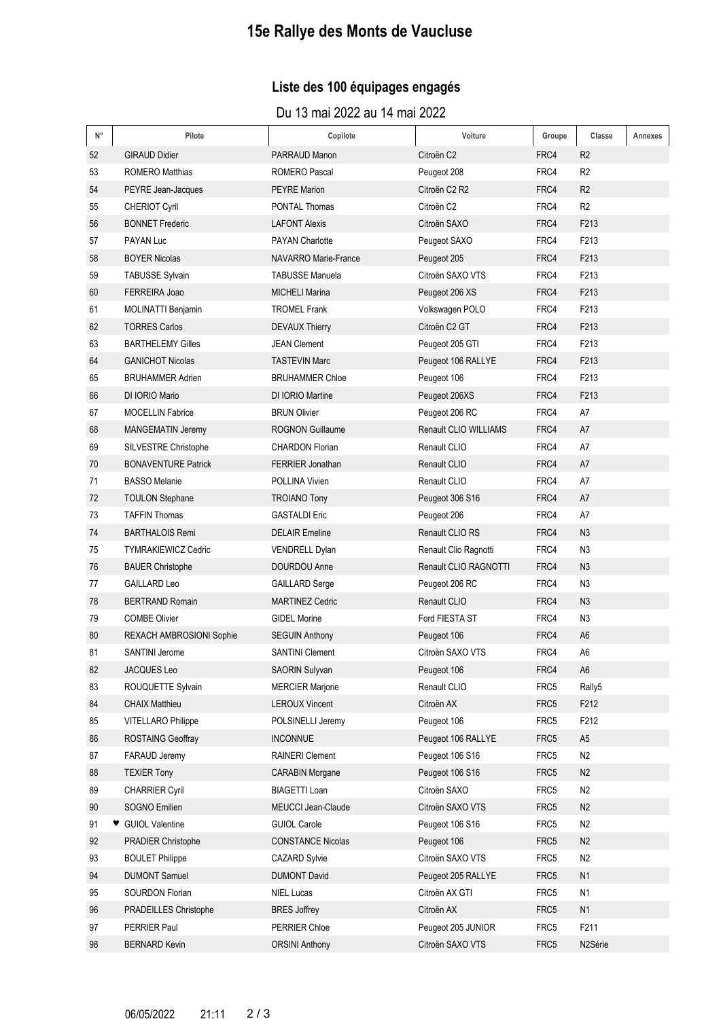# **15e Rallye des Monts de Vaucluse**

## **Liste des 100 équipages engagés**

Du 13 mai 2022 au 14 mai 2022

| $\mathsf{N}^\circ$ | Pilote                          | Copilote                    | Voiture                      | Groupe | Classe            | Annexes |
|--------------------|---------------------------------|-----------------------------|------------------------------|--------|-------------------|---------|
| 52                 | <b>GIRAUD Didier</b>            | PARRAUD Manon               | Citroën C <sub>2</sub>       | FRC4   | R <sub>2</sub>    |         |
| 53                 | <b>ROMERO Matthias</b>          | <b>ROMERO Pascal</b>        | Peugeot 208                  | FRC4   | R <sub>2</sub>    |         |
| 54                 | PEYRE Jean-Jacques              | <b>PEYRE Marion</b>         | Citroën C2 R2                | FRC4   | R <sub>2</sub>    |         |
| 55                 | <b>CHERIOT Cyril</b>            | <b>PONTAL Thomas</b>        | Citroën C <sub>2</sub>       | FRC4   | R <sub>2</sub>    |         |
| 56                 | <b>BONNET Frederic</b>          | <b>LAFONT Alexis</b>        | Citroën SAXO                 | FRC4   | F213              |         |
| 57                 | PAYAN Luc                       | <b>PAYAN Charlotte</b>      | Peugeot SAXO                 | FRC4   | F <sub>2</sub> 13 |         |
| 58                 | <b>BOYER Nicolas</b>            | <b>NAVARRO Marie-France</b> | Peugeot 205                  | FRC4   | F213              |         |
| 59                 | <b>TABUSSE Sylvain</b>          | <b>TABUSSE Manuela</b>      | Citroën SAXO VTS             | FRC4   | F213              |         |
| 60                 | FERREIRA Joao                   | <b>MICHELI Marina</b>       | Peugeot 206 XS               | FRC4   | F213              |         |
| 61                 | MOLINATTI Benjamin              | <b>TROMEL Frank</b>         | Volkswagen POLO              | FRC4   | F213              |         |
| 62                 | <b>TORRES Carlos</b>            | <b>DEVAUX Thierry</b>       | Citroën C2 GT                | FRC4   | F213              |         |
| 63                 | <b>BARTHELEMY Gilles</b>        | <b>JEAN Clement</b>         | Peugeot 205 GTI              | FRC4   | F213              |         |
| 64                 | <b>GANICHOT Nicolas</b>         | <b>TASTEVIN Marc</b>        | Peugeot 106 RALLYE           | FRC4   | F213              |         |
| 65                 | <b>BRUHAMMER Adrien</b>         | <b>BRUHAMMER Chloe</b>      | Peugeot 106                  | FRC4   | F213              |         |
| 66                 | DI IORIO Mario                  | DI IORIO Martine            | Peugeot 206XS                | FRC4   | F213              |         |
| 67                 | <b>MOCELLIN Fabrice</b>         | <b>BRUN Olivier</b>         | Peugeot 206 RC               | FRC4   | A7                |         |
| 68                 | <b>MANGEMATIN Jeremy</b>        | <b>ROGNON Guillaume</b>     | <b>Renault CLIO WILLIAMS</b> | FRC4   | A7                |         |
| 69                 | SILVESTRE Christophe            | <b>CHARDON Florian</b>      | Renault CLIO                 | FRC4   | A7                |         |
| 70                 | <b>BONAVENTURE Patrick</b>      | <b>FERRIER Jonathan</b>     | Renault CLIO                 | FRC4   | A7                |         |
| 71                 | <b>BASSO Melanie</b>            | POLLINA Vivien              | Renault CLIO                 | FRC4   | A7                |         |
| 72                 | <b>TOULON Stephane</b>          | <b>TROIANO Tony</b>         | Peugeot 306 S16              | FRC4   | A7                |         |
| 73                 | <b>TAFFIN Thomas</b>            | <b>GASTALDI Eric</b>        | Peugeot 206                  | FRC4   | A7                |         |
| 74                 | <b>BARTHALOIS Remi</b>          | <b>DELAIR Emeline</b>       | Renault CLIO RS              | FRC4   | N3                |         |
| 75                 | <b>TYMRAKIEWICZ Cedric</b>      | <b>VENDRELL Dylan</b>       | Renault Clio Ragnotti        | FRC4   | N <sub>3</sub>    |         |
| 76                 | <b>BAUER Christophe</b>         | DOURDOU Anne                | Renault CLIO RAGNOTTI        | FRC4   | N <sub>3</sub>    |         |
| 77                 | <b>GAILLARD Leo</b>             | <b>GAILLARD Serge</b>       | Peugeot 206 RC               | FRC4   | N <sub>3</sub>    |         |
| 78                 | <b>BERTRAND Romain</b>          | <b>MARTINEZ Cedric</b>      | Renault CLIO                 | FRC4   | N <sub>3</sub>    |         |
| 79                 | <b>COMBE Olivier</b>            | <b>GIDEL Morine</b>         | Ford FIESTA ST               | FRC4   | N3                |         |
| 80                 | <b>REXACH AMBROSIONI Sophie</b> | <b>SEGUIN Anthony</b>       | Peugeot 106                  | FRC4   | A <sub>6</sub>    |         |
| 81                 | <b>SANTINI Jerome</b>           | <b>SANTINI Clement</b>      | Citroën SAXO VTS             | FRC4   | A <sub>6</sub>    |         |
| 82                 | JACQUES Leo                     | SAORIN Sulyvan              | Peugeot 106                  | FRC4   | A <sub>6</sub>    |         |
| 83                 | ROUQUETTE Sylvain               | <b>MERCIER Marjorie</b>     | Renault CLIO                 | FRC5   | Rally5            |         |
| 84                 | <b>CHAIX Matthieu</b>           | <b>LEROUX Vincent</b>       | Citroën AX                   | FRC5   | F212              |         |
| 85                 | <b>VITELLARO Philippe</b>       | POLSINELLI Jeremy           | Peugeot 106                  | FRC5   | F212              |         |
| 86                 | ROSTAING Geoffray               | <b>INCONNUE</b>             | Peugeot 106 RALLYE           | FRC5   | A5                |         |
| 87                 | FARAUD Jeremy                   | <b>RAINERI Clement</b>      | Peugeot 106 S16              | FRC5   | N <sub>2</sub>    |         |
| 88                 | <b>TEXIER Tony</b>              | <b>CARABIN Morgane</b>      | Peugeot 106 S16              | FRC5   | N <sub>2</sub>    |         |
| 89                 | <b>CHARRIER Cyril</b>           | <b>BIAGETTI Loan</b>        | Citroën SAXO                 | FRC5   | N <sub>2</sub>    |         |
| 90                 | SOGNO Emilien                   | MEUCCI Jean-Claude          | Citroën SAXO VTS             | FRC5   | N <sub>2</sub>    |         |
| 91                 | ♥ GUIOL Valentine               | <b>GUIOL Carole</b>         | Peugeot 106 S16              | FRC5   | N <sub>2</sub>    |         |
| 92                 | PRADIER Christophe              | <b>CONSTANCE Nicolas</b>    | Peugeot 106                  | FRC5   | N2                |         |
| 93                 | <b>BOULET Philippe</b>          | <b>CAZARD Sylvie</b>        | Citroën SAXO VTS             | FRC5   | N2                |         |
| 94                 | <b>DUMONT Samuel</b>            | <b>DUMONT David</b>         | Peugeot 205 RALLYE           | FRC5   | N1                |         |
| 95                 | SOURDON Florian                 | <b>NIEL Lucas</b>           | Citroën AX GTI               | FRC5   | N <sub>1</sub>    |         |
| 96                 | PRADEILLES Christophe           | <b>BRES</b> Joffrey         | Citroën AX                   | FRC5   | N1                |         |
| 97                 | PERRIER Paul                    | PERRIER Chloe               | Peugeot 205 JUNIOR           | FRC5   | F211              |         |
| 98                 | <b>BERNARD Kevin</b>            | <b>ORSINI Anthony</b>       | Citroën SAXO VTS             | FRC5   | N2Série           |         |